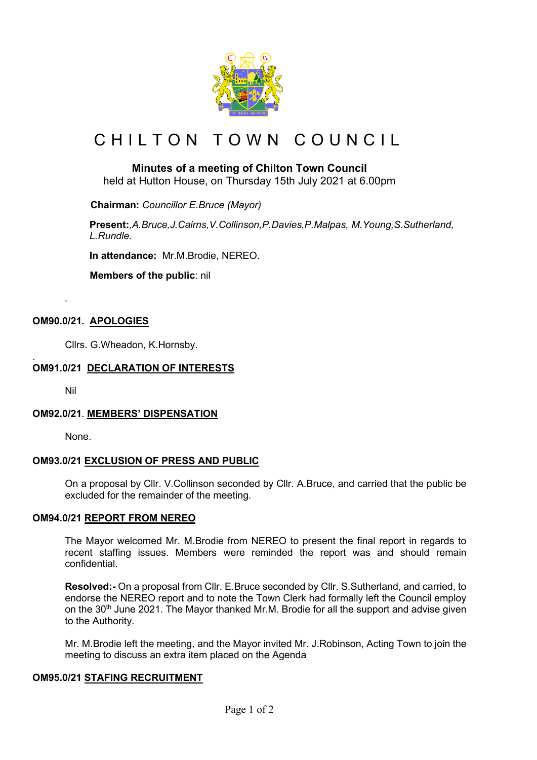

# CHILTON TOWN COUNCIL

# **Minutes of a meeting of Chilton Town Council**

held at Hutton House, on Thursday 15th July 2021 at 6.00pm

 **Chairman:** *Councillor E.Bruce (Mayor)*

**Present:***,A.Bruce,J.Cairns,V.Collinson,P.Davies,P.Malpas, M.Young,S.Sutherland, L.Rundle.*

**In attendance:** Mr.M.Brodie, NEREO.

 **Members of the public**: nil

## **OM90.0/21. APOLOGIES**

Cllrs. G.Wheadon, K.Hornsby.

#### . **OM91.0/21 DECLARATION OF INTERESTS**

Nil

*.*

#### **OM92.0/21**. **MEMBERS' DISPENSATION**

None.

#### **OM93.0/21 EXCLUSION OF PRESS AND PUBLIC**

On a proposal by Cllr. V.Collinson seconded by Cllr. A.Bruce, and carried that the public be excluded for the remainder of the meeting.

#### **OM94.0/21 REPORT FROM NEREO**

The Mayor welcomed Mr. M.Brodie from NEREO to present the final report in regards to recent staffing issues. Members were reminded the report was and should remain confidential.

**Resolved:-** On a proposal from Cllr. E.Bruce seconded by Cllr. S.Sutherland, and carried, to endorse the NEREO report and to note the Town Clerk had formally left the Council employ on the 30<sup>th</sup> June 2021. The Mayor thanked Mr.M. Brodie for all the support and advise given to the Authority.

Mr. M.Brodie left the meeting, and the Mayor invited Mr. J.Robinson, Acting Town to join the meeting to discuss an extra item placed on the Agenda

## **OM95.0/21 STAFING RECRUITMENT**